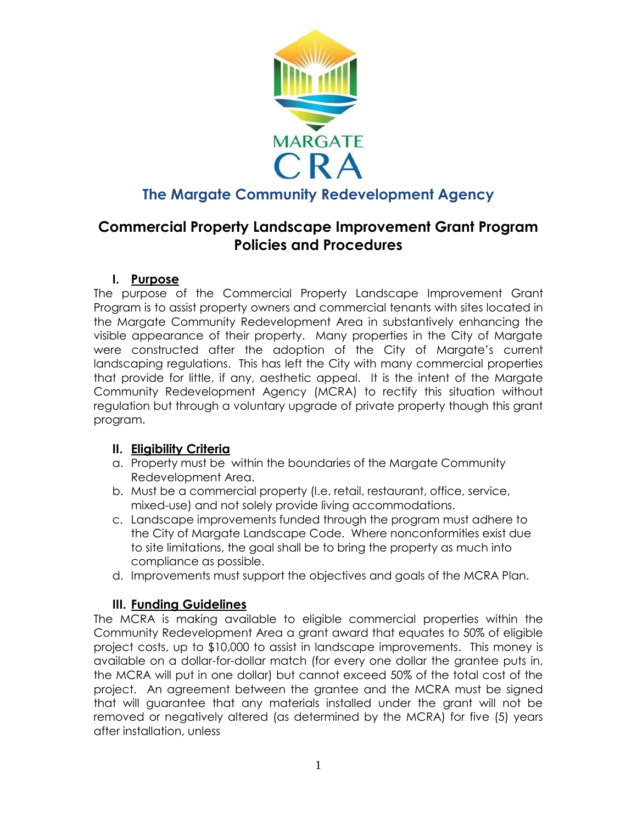

# **The Margate Community Redevelopment Agency**

# **Commercial Property Landscape Improvement Grant Program Policies and Procedures**

### **I. Purpose**

The purpose of the Commercial Property Landscape Improvement Grant Program is to assist property owners and commercial tenants with sites located in the Margate Community Redevelopment Area in substantively enhancing the visible appearance of their property. Many properties in the City of Margate were constructed after the adoption of the City of Margate's current landscaping regulations. This has left the City with many commercial properties that provide for little, if any, aesthetic appeal. It is the intent of the Margate Community Redevelopment Agency (MCRA) to rectify this situation without regulation but through a voluntary upgrade of private property though this grant program.

### **II. Eligibility Criteria**

- a. Property must be within the boundaries of the Margate Community Redevelopment Area.
- b. Must be a commercial property (I.e. retail, restaurant, office, service, mixed-use) and not solely provide living accommodations.
- c. Landscape improvements funded through the program must adhere to the City of Margate Landscape Code. Where nonconformities exist due to site limitations, the goal shall be to bring the property as much into compliance as possible.
- d. Improvements must support the objectives and goals of the MCRA Plan.

## **III. Funding Guidelines**

The MCRA is making available to eligible commercial properties within the Community Redevelopment Area a grant award that equates to 50% of eligible project costs, up to \$10,000 to assist in landscape improvements. This money is available on a dollar-for-dollar match (for every one dollar the grantee puts in, the MCRA will put in one dollar) but cannot exceed 50% of the total cost of the project. An agreement between the grantee and the MCRA must be signed that will guarantee that any materials installed under the grant will not be removed or negatively altered (as determined by the MCRA) for five (5) years after installation, unless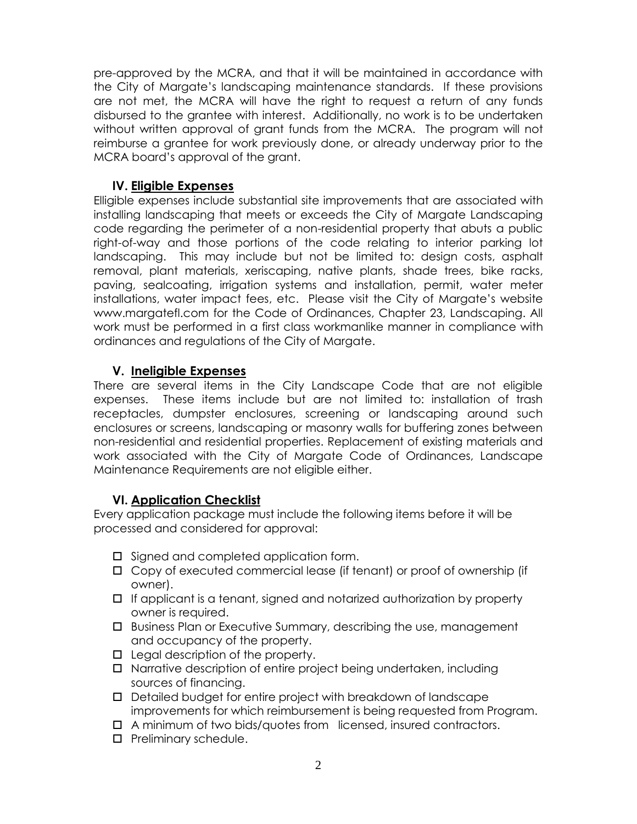pre-approved by the MCRA, and that it will be maintained in accordance with the City of Margate's landscaping maintenance standards. If these provisions are not met, the MCRA will have the right to request a return of any funds disbursed to the grantee with interest. Additionally, no work is to be undertaken without written approval of grant funds from the MCRA. The program will not reimburse a grantee for work previously done, or already underway prior to the MCRA board's approval of the grant.

#### **IV. Eligible Expenses**

Elligible expenses include substantial site improvements that are associated with installing landscaping that meets or exceeds the City of Margate Landscaping code regarding the perimeter of a non-residential property that abuts a public right-of-way and those portions of the code relating to interior parking lot landscaping. This may include but not be limited to: design costs, asphalt removal, plant materials, xeriscaping, native plants, shade trees, bike racks, paving, sealcoating, irrigation systems and installation, permit, water meter installations, water impact fees, etc. Please visit the City of Margate's website www.margatefl.com for the Code of Ordinances, Chapter 23, Landscaping. All work must be performed in a first class workmanlike manner in compliance with ordinances and regulations of the City of Margate.

### **V. Ineligible Expenses**

There are several items in the City Landscape Code that are not eligible expenses. These items include but are not limited to: installation of trash receptacles, dumpster enclosures, screening or landscaping around such enclosures or screens, landscaping or masonry walls for buffering zones between non-residential and residential properties. Replacement of existing materials and work associated with the City of Margate Code of Ordinances, Landscape Maintenance Requirements are not eligible either.

#### **VI. Application Checklist**

Every application package must include the following items before it will be processed and considered for approval:

- $\square$  Signed and completed application form.
- Copy of executed commercial lease (if tenant) or proof of ownership (if owner).
- $\Box$  If applicant is a tenant, signed and notarized authorization by property owner is required.
- Business Plan or Executive Summary, describing the use, management and occupancy of the property.
- $\Box$  Legal description of the property.
- □ Narrative description of entire project being undertaken, including sources of financing.
- Detailed budget for entire project with breakdown of landscape improvements for which reimbursement is being requested from Program.
- A minimum of two bids/quotes from licensed, insured contractors.
- $\square$  Preliminary schedule.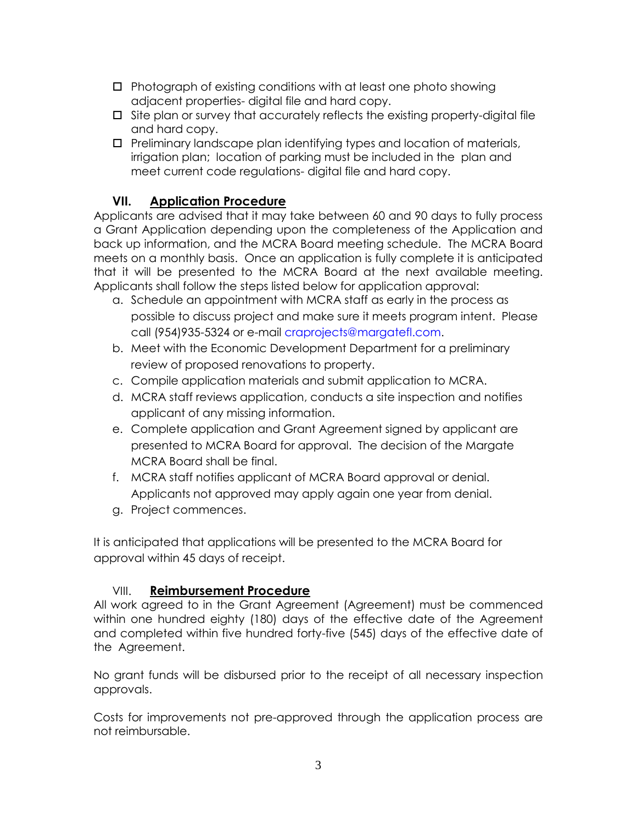- $\Box$  Photograph of existing conditions with at least one photo showing adjacent properties- digital file and hard copy.
- $\square$  Site plan or survey that accurately reflects the existing property-digital file and hard copy.
- $\Box$  Preliminary landscape plan identifying types and location of materials, irrigation plan; location of parking must be included in the plan and meet current code regulations- digital file and hard copy.

### **VII. Application Procedure**

Applicants are advised that it may take between 60 and 90 days to fully process a Grant Application depending upon the completeness of the Application and back up information, and the MCRA Board meeting schedule. The MCRA Board meets on a monthly basis. Once an application is fully complete it is anticipated that it will be presented to the MCRA Board at the next available meeting. Applicants shall follow the steps listed below for application approval:

- a. Schedule an appointment with MCRA staff as early in the process as possible to discuss project and make sure it meets program intent. Please call (954)935-5324 or e-mail [craprojects@margatefl.com.](mailto:craprojects@margatefl.com)
- b. Meet with the Economic Development Department for a preliminary review of proposed renovations to property.
- c. Compile application materials and submit application to MCRA.
- d. MCRA staff reviews application, conducts a site inspection and notifies applicant of any missing information.
- e. Complete application and Grant Agreement signed by applicant are presented to MCRA Board for approval. The decision of the Margate MCRA Board shall be final.
- f. MCRA staff notifies applicant of MCRA Board approval or denial. Applicants not approved may apply again one year from denial.
- g. Project commences.

It is anticipated that applications will be presented to the MCRA Board for approval within 45 days of receipt.

### VIII. **Reimbursement Procedure**

All work agreed to in the Grant Agreement (Agreement) must be commenced within one hundred eighty (180) days of the effective date of the Agreement and completed within five hundred forty-five (545) days of the effective date of the Agreement.

No grant funds will be disbursed prior to the receipt of all necessary inspection approvals.

Costs for improvements not pre-approved through the application process are not reimbursable.